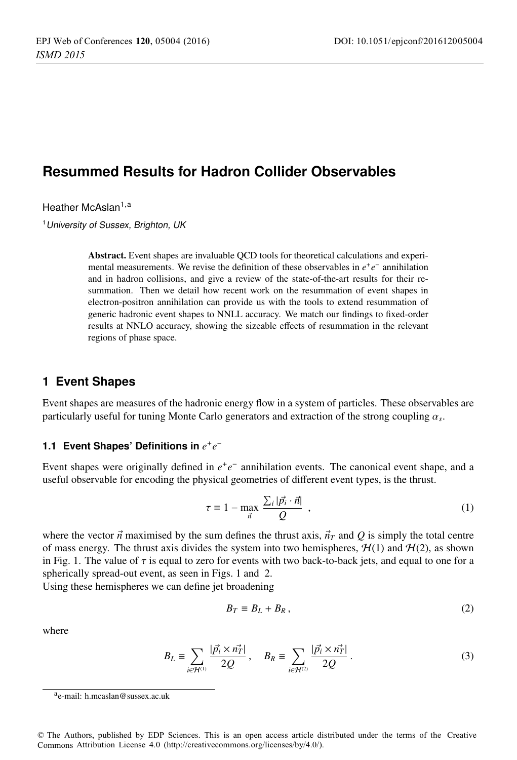# **Resummed Results for Hadron Collider Observables**

Heather McAslan<sup>1,a</sup>

<sup>1</sup>University of Sussex, Brighton, UK

Abstract. Event shapes are invaluable QCD tools for theoretical calculations and experimental measurements. We revise the definition of these observables in *e*+*e*<sup>−</sup> annihilation and in hadron collisions, and give a review of the state-of-the-art results for their resummation. Then we detail how recent work on the resummation of event shapes in electron-positron annihilation can provide us with the tools to extend resummation of generic hadronic event shapes to NNLL accuracy. We match our findings to fixed-order results at NNLO accuracy, showing the sizeable effects of resummation in the relevant regions of phase space.

### **1 Event Shapes**

Event shapes are measures of the hadronic energy flow in a system of particles. These observables are particularly useful for tuning Monte Carlo generators and extraction of the strong coupling <sup>α</sup>*<sup>s</sup>*.

### **1.1 Event Shapes' Definitions in**  $e^+e^-$

Event shapes were originally defined in *e*+*e*<sup>−</sup> annihilation events. The canonical event shape, and a useful observable for encoding the physical geometries of different event types, is the thrust.

$$
\tau \equiv 1 - \max_{\vec{n}} \frac{\sum_{i} |\vec{p_i} \cdot \vec{n}|}{Q} , \qquad (1)
$$

where the vector  $\vec{n}$  maximised by the sum defines the thrust axis,  $\vec{n}_T$  and  $\vec{Q}$  is simply the total centre of mass energy. The thrust axis divides the system into two hemispheres,  $H(1)$  and  $H(2)$ , as shown in Fig. 1. The value of  $\tau$  is equal to zero for events with two back-to-back jets, and equal to one for a spherically spread-out event, as seen in Figs. 1 and 2.

Using these hemispheres we can define jet broadening

$$
B_T \equiv B_L + B_R, \qquad (2)
$$

where

$$
B_L = \sum_{i \in \mathcal{H}^{(1)}} \frac{|\vec{p_i} \times \vec{n_T}|}{2Q}, \quad B_R = \sum_{i \in \mathcal{H}^{(2)}} \frac{|\vec{p_i} \times \vec{n_T}|}{2Q}.
$$
 (3)

© The Authors, published by EDP Sciences. This is an open access article distributed under the terms of the Creative Commons Attribution License 4.0 ([http://creativecommons.org/licenses/by/4.0/\).](http://creativecommons.org/licenses/by/4.0/) 

ae-mail: [h.mcaslan@sussex.ac.uk](mailto:h.mcaslan@sussex.ac.uk)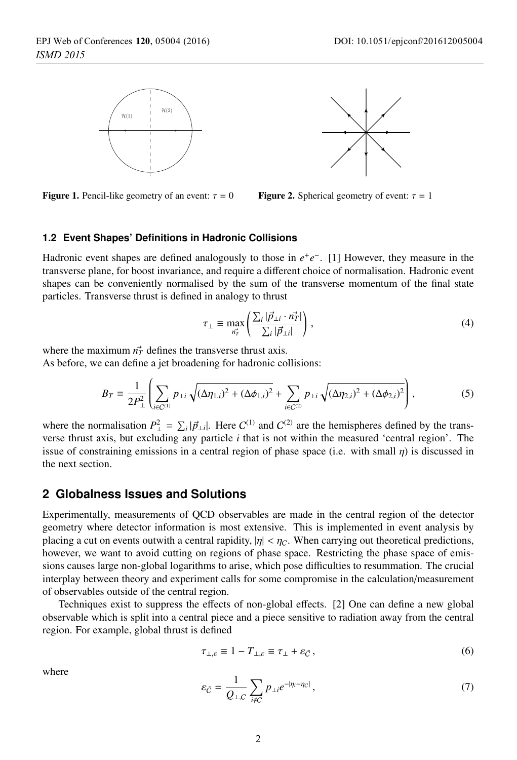



**Figure 1.** Pencil-like geometry of an event:  $\tau = 0$  Figure 2. Spherical geometry of event:  $\tau = 1$ 



#### **1.2 Event Shapes' Definitions in Hadronic Collisions**

Hadronic event shapes are defined analogously to those in *e*+*e*<sup>−</sup>. [1] However, they measure in the transverse plane, for boost invariance, and require a different choice of normalisation. Hadronic event shapes can be conveniently normalised by the sum of the transverse momentum of the final state particles. Transverse thrust is defined in analogy to thrust

$$
\tau_{\perp} \equiv \max_{n_T^2} \left( \frac{\sum_i |\vec{p}_{\perp i} \cdot n_T^2|}{\sum_i |\vec{p}_{\perp i}|} \right),\tag{4}
$$

where the maximum  $n<sub>T</sub><sup>2</sup>$  defines the transverse thrust axis.

As before, we can define a jet broadening for hadronic collisions:

$$
B_T \equiv \frac{1}{2P_{\perp}^2} \left( \sum_{i \in C^{(1)}} p_{\perp i} \sqrt{(\Delta \eta_{1,i})^2 + (\Delta \phi_{1,i})^2} + \sum_{i \in C^{(2)}} p_{\perp i} \sqrt{(\Delta \eta_{2,i})^2 + (\Delta \phi_{2,i})^2} \right),
$$
(5)

where the normalisation  $P_{\perp}^2 = \sum_i |\vec{p}_{\perp i}|$ . Here  $C^{(1)}$  and  $C^{(2)}$  are the hemispheres defined by the transverse thrust axis, but excluding any particle *i* that is not within the measured 'central region'. The issue of constraining emissions in a central region of phase space (i.e. with small  $\eta$ ) is discussed in the next section.

### **2 Globalness Issues and Solutions**

Experimentally, measurements of QCD observables are made in the central region of the detector geometry where detector information is most extensive. This is implemented in event analysis by placing a cut on events outwith a central rapidity,  $|\eta| < \eta_C$ . When carrying out theoretical predictions, however, we want to avoid cutting on regions of phase space. Restricting the phase space of emissions causes large non-global logarithms to arise, which pose difficulties to resummation. The crucial interplay between theory and experiment calls for some compromise in the calculation/measurement of observables outside of the central region.

Techniques exist to suppress the effects of non-global effects. [2] One can define a new global observable which is split into a central piece and a piece sensitive to radiation away from the central region. For example, global thrust is defined

$$
\tau_{\perp,\varepsilon} \equiv 1 - T_{\perp,\varepsilon} \equiv \tau_{\perp} + \varepsilon_{\tilde{C}}\,,\tag{6}
$$

where

$$
\varepsilon_{\bar{C}} = \frac{1}{Q_{\perp,C}} \sum_{i \notin C} p_{\perp i} e^{-|\eta_i - \eta_C|},\tag{7}
$$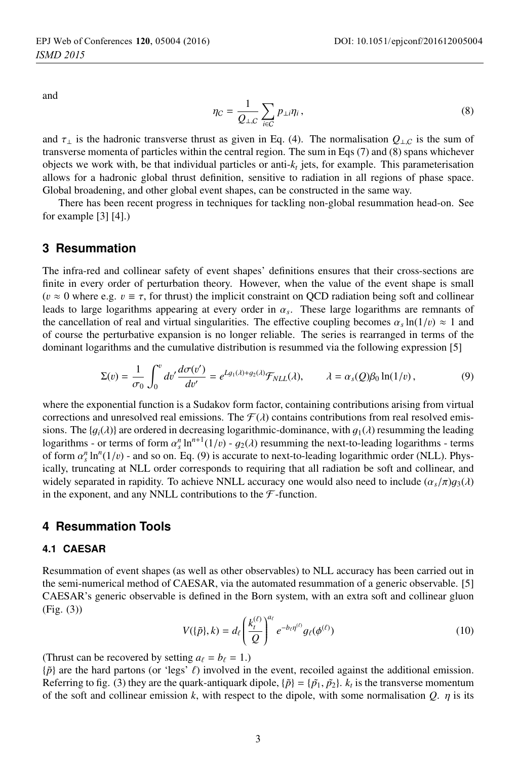and

$$
\eta_C = \frac{1}{Q_{\perp,C}} \sum_{i \in C} p_{\perp i} \eta_i , \qquad (8)
$$

and  $\tau_{\perp}$  is the hadronic transverse thrust as given in Eq. (4). The normalisation  $Q_{\perp,C}$  is the sum of transverse momenta of particles within the central region. The sum in Eqs (7) and (8) spans whichever objects we work with, be that individual particles or anti- $k_t$  jets, for example. This parameterisation allows for a hadronic global thrust definition, sensitive to radiation in all regions of phase space. Global broadening, and other global event shapes, can be constructed in the same way.

There has been recent progress in techniques for tackling non-global resummation head-on. See for example [3] [4].)

### **3 Resummation**

The infra-red and collinear safety of event shapes' definitions ensures that their cross-sections are finite in every order of perturbation theory. However, when the value of the event shape is small ( $v \approx 0$  where e.g.  $v \equiv \tau$ , for thrust) the implicit constraint on QCD radiation being soft and collinear leads to large logarithms appearing at every order in <sup>α</sup>*<sup>s</sup>*. These large logarithms are remnants of the cancellation of real and virtual singularities. The effective coupling becomes  $\alpha_s \ln(1/v) \approx 1$  and of course the perturbative expansion is no longer reliable. The series is rearranged in terms of the dominant logarithms and the cumulative distribution is resummed via the following expression [5]

$$
\Sigma(v) = \frac{1}{\sigma_0} \int_0^v dv' \frac{d\sigma(v')}{dv'} = e^{Lg_1(\lambda) + g_2(\lambda)} \mathcal{F}_{NLL}(\lambda), \qquad \lambda = \alpha_s(Q)\beta_0 \ln(1/v), \tag{9}
$$

where the exponential function is a Sudakov form factor, containing contributions arising from virtual corrections and unresolved real emissions. The  $\mathcal{F}(\lambda)$  contains contributions from real resolved emissions. The { $g_i(\lambda)$ } are ordered in decreasing logarithmic-dominance, with  $g_1(\lambda)$  resumming the leading logarithms - or terms of form  $\alpha_s^n \ln^{n+1}(1/v) - g_2(\lambda)$  resumming the next-to-leading logarithms - terms<br>of form  $\alpha_s^n \ln^n(1/n)$  - and so on Eq. (9) is accurate to next-to-leading logarithmic order (NII). Physof form  $\alpha_s^n \ln^n(1/v)$  - and so on. Eq. (9) is accurate to next-to-leading logarithmic order (NLL). Phys-<br>ically truncating at NLL order corresponds to requiring that all radiation be soft and collinear, and ically, truncating at NLL order corresponds to requiring that all radiation be soft and collinear, and widely separated in rapidity. To achieve NNLL accuracy one would also need to include  $(\alpha_s/\pi)g_3(\lambda)$ in the exponent, and any NNLL contributions to the  $\mathcal F$ -function.

### **4 Resummation Tools**

#### **4.1 CAESAR**

Resummation of event shapes (as well as other observables) to NLL accuracy has been carried out in the semi-numerical method of CAESAR, via the automated resummation of a generic observable. [5] CAESAR's generic observable is defined in the Born system, with an extra soft and collinear gluon (Fig. (3))

$$
V(\{\tilde{p}\},k) = d_{\ell} \left(\frac{k_{t}^{(\ell)}}{Q}\right)^{a_{\ell}} e^{-b_{\ell} \eta^{(\ell)}} g_{\ell}(\phi^{(\ell)})
$$
(10)

(Thrust can be recovered by setting  $a_\ell = b_\ell = 1$ .)

 $\{\tilde{p}\}$  are the hard partons (or 'legs'  $\ell$ ) involved in the event, recoiled against the additional emission. Referring to fig. (3) they are the quark-antiquark dipole,  $\{\tilde{p}\} = \{\tilde{p}_1, \tilde{p}_2\}$ .  $k_t$  is the transverse momentum of the soft and collinear emission *<sup>k</sup>*, with respect to the dipole, with some normalisation *<sup>Q</sup>*. η is its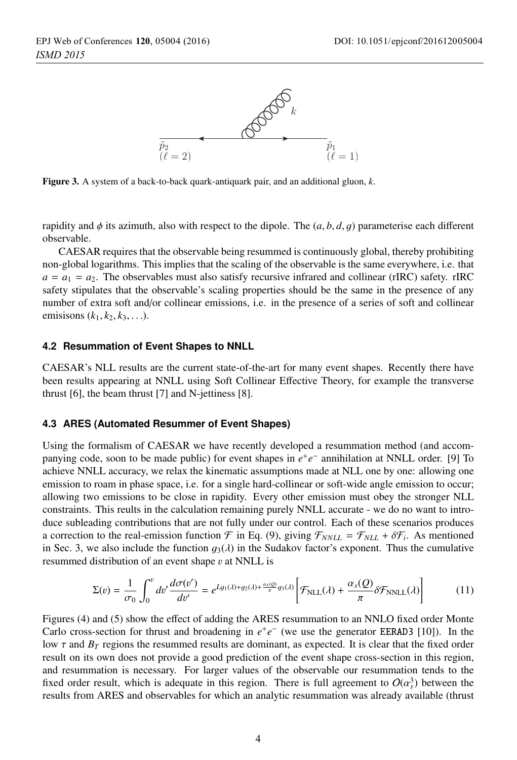

Figure 3. A system of a back-to-back quark-antiquark pair, and an additional gluon, *<sup>k</sup>*.

rapidity and  $\phi$  its azimuth, also with respect to the dipole. The  $(a, b, d, g)$  parameterise each different observable.

CAESAR requires that the observable being resummed is continuously global, thereby prohibiting non-global logarithms. This implies that the scaling of the observable is the same everywhere, i.e. that  $a = a_1 = a_2$ . The observables must also satisfy recursive infrared and collinear (rIRC) safety. rIRC safety stipulates that the observable's scaling properties should be the same in the presence of any number of extra soft and/or collinear emissions, i.e. in the presence of a series of soft and collinear emisisons  $(k_1, k_2, k_3, \ldots)$ .

#### **4.2 Resummation of Event Shapes to NNLL**

CAESAR's NLL results are the current state-of-the-art for many event shapes. Recently there have been results appearing at NNLL using Soft Collinear Effective Theory, for example the transverse thrust [6], the beam thrust [7] and N-jettiness [8].

#### **4.3 ARES (Automated Resummer of Event Shapes)**

Using the formalism of CAESAR we have recently developed a resummation method (and accompanying code, soon to be made public) for event shapes in *e*+*e*<sup>−</sup> annihilation at NNLL order. [9] To achieve NNLL accuracy, we relax the kinematic assumptions made at NLL one by one: allowing one emission to roam in phase space, i.e. for a single hard-collinear or soft-wide angle emission to occur; allowing two emissions to be close in rapidity. Every other emission must obey the stronger NLL constraints. This reults in the calculation remaining purely NNLL accurate - we do no want to introduce subleading contributions that are not fully under our control. Each of these scenarios produces a correction to the real-emission function  $\mathcal F$  in Eq. (9), giving  $\mathcal F_{NNLL} = \mathcal F_{NLL} + \delta \mathcal F_i$ . As mentioned in Sec. 3, we also include the function  $g_3(\lambda)$  in the Sudakov factor's exponent. Thus the cumulative resummed distribution of an event shape  $v$  at NNLL is

$$
\Sigma(v) = \frac{1}{\sigma_0} \int_0^v dv' \frac{d\sigma(v')}{dv'} = e^{Lg_1(\lambda) + g_2(\lambda) + \frac{\sigma_s(0)}{\pi}g_3(\lambda)} \left[ \mathcal{F}_{\text{NLL}}(\lambda) + \frac{\alpha_s(Q)}{\pi} \delta \mathcal{F}_{\text{NNLL}}(\lambda) \right]
$$
(11)

Figures (4) and (5) show the effect of adding the ARES resummation to an NNLO fixed order Monte Carlo cross-section for thrust and broadening in *e*+*e*<sup>−</sup> (we use the generator EERAD3 [10]). In the low  $\tau$  and  $B_T$  regions the resummed results are dominant, as expected. It is clear that the fixed order result on its own does not provide a good prediction of the event shape cross-section in this region, and resummation is necessary. For larger values of the observable our resummation tends to the fixed order result, which is adequate in this region. There is full agreement to  $O(\alpha_3^3)$  between the results from ARES and observables for which an analytic resummation was already available (thrust results from ARES and observables for which an analytic resummation was already available (thrust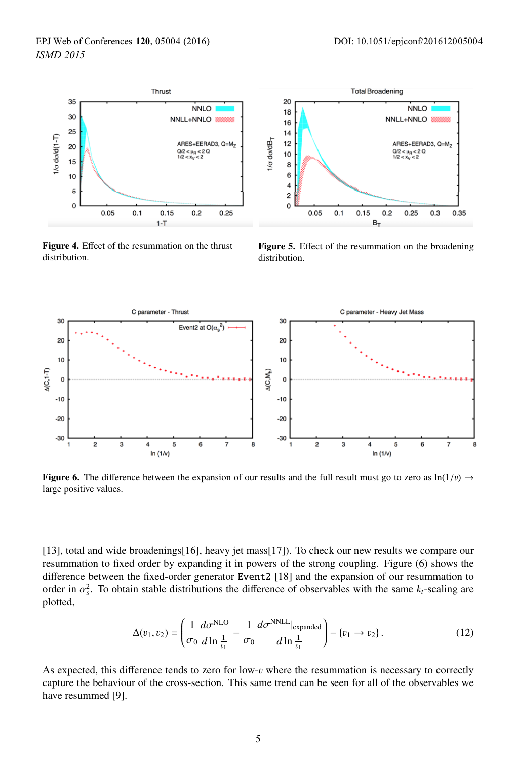

Figure 4. <sup>E</sup>ffect of the resummation on the thrust distribution.

Figure 5. <sup>E</sup>ffect of the resummation on the broadening distribution.



Figure 6. The difference between the expansion of our results and the full result must go to zero as  $ln(1/v) \rightarrow$ large positive values.

[13], total and wide broadenings[16], heavy jet mass[17]). To check our new results we compare our resummation to fixed order by expanding it in powers of the strong coupling. Figure (6) shows the difference between the fixed-order generator Event2 [18] and the expansion of our resummation to order in  $\alpha_s^2$ . To obtain stable distributions the difference of observables with the same  $k_t$ -scaling are plotted plotted,

$$
\Delta(v_1, v_2) = \left(\frac{1}{\sigma_0} \frac{d\sigma^{\text{NLO}}}{d\ln\frac{1}{v_1}} - \frac{1}{\sigma_0} \frac{d\sigma^{\text{NNLL}}|_{\text{expanded}}}{d\ln\frac{1}{v_1}}\right) - \{v_1 \to v_2\}.
$$
 (12)

As expected, this difference tends to zero for low- $v$  where the resummation is necessary to correctly capture the behaviour of the cross-section. This same trend can be seen for all of the observables we have resummed [9].